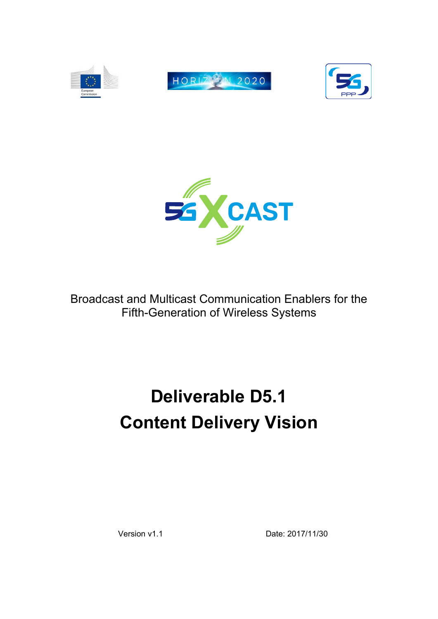



Broadcast and Multicast Communication Enablers for the Fifth-Generation of Wireless Systems

# **Deliverable D5.1 Content Delivery Vision**

Version v1.1 Date: 2017/11/30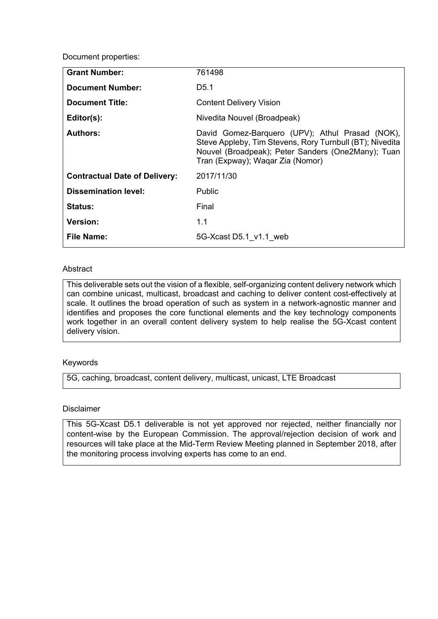Document properties:

| <b>Grant Number:</b>                 | 761498                                                                                                                                                                                                |
|--------------------------------------|-------------------------------------------------------------------------------------------------------------------------------------------------------------------------------------------------------|
| <b>Document Number:</b>              | D <sub>5.1</sub>                                                                                                                                                                                      |
| <b>Document Title:</b>               | <b>Content Delivery Vision</b>                                                                                                                                                                        |
| Editor(s):                           | Nivedita Nouvel (Broadpeak)                                                                                                                                                                           |
| <b>Authors:</b>                      | David Gomez-Barquero (UPV); Athul Prasad (NOK),<br>Steve Appleby, Tim Stevens, Rory Turnbull (BT); Nivedita<br>Nouvel (Broadpeak); Peter Sanders (One2Many); Tuan<br>Tran (Expway); Waqar Zia (Nomor) |
| <b>Contractual Date of Delivery:</b> | 2017/11/30                                                                                                                                                                                            |
| <b>Dissemination level:</b>          | <b>Public</b>                                                                                                                                                                                         |
| <b>Status:</b>                       | Final                                                                                                                                                                                                 |
| <b>Version:</b>                      | 1.1                                                                                                                                                                                                   |
| <b>File Name:</b>                    | 5G-Xcast D5.1 v1.1 web                                                                                                                                                                                |
|                                      |                                                                                                                                                                                                       |

#### **Abstract**

This deliverable sets out the vision of a flexible, self-organizing content delivery network which can combine unicast, multicast, broadcast and caching to deliver content cost-effectively at scale. It outlines the broad operation of such as system in a network-agnostic manner and identifies and proposes the core functional elements and the key technology components work together in an overall content delivery system to help realise the 5G-Xcast content delivery vision.

#### Keywords

5G, caching, broadcast, content delivery, multicast, unicast, LTE Broadcast

#### Disclaimer

This 5G-Xcast D5.1 deliverable is not yet approved nor rejected, neither financially nor content-wise by the European Commission. The approval/rejection decision of work and resources will take place at the Mid-Term Review Meeting planned in September 2018, after the monitoring process involving experts has come to an end.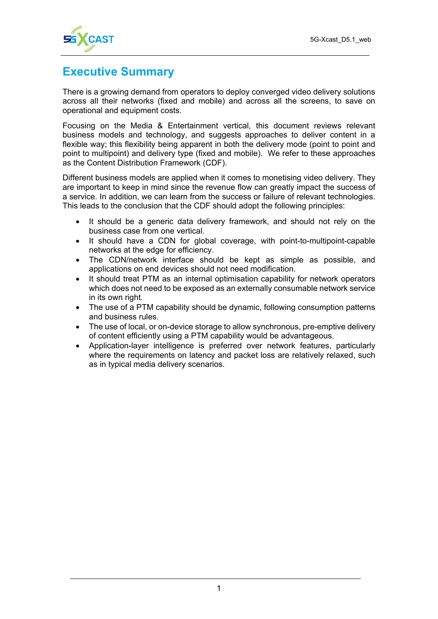

# **Executive Summary**

There is a growing demand from operators to deploy converged video delivery solutions across all their networks (fixed and mobile) and across all the screens, to save on operational and equipment costs.

Focusing on the Media & Entertainment vertical, this document reviews relevant business models and technology, and suggests approaches to deliver content in a flexible way; this flexibility being apparent in both the delivery mode (point to point and point to multipoint) and delivery type (fixed and mobile). We refer to these approaches as the Content Distribution Framework (CDF).

Different business models are applied when it comes to monetising video delivery. They are important to keep in mind since the revenue flow can greatly impact the success of a service. In addition, we can learn from the success or failure of relevant technologies. This leads to the conclusion that the CDF should adopt the following principles:

- It should be a generic data delivery framework, and should not rely on the business case from one vertical.
- It should have a CDN for global coverage, with point-to-multipoint-capable networks at the edge for efficiency.
- The CDN/network interface should be kept as simple as possible, and applications on end devices should not need modification.
- It should treat PTM as an internal optimisation capability for network operators which does not need to be exposed as an externally consumable network service in its own right.
- The use of a PTM capability should be dynamic, following consumption patterns and business rules.
- The use of local, or on-device storage to allow synchronous, pre-emptive delivery of content efficiently using a PTM capability would be advantageous.
- Application-layer intelligence is preferred over network features, particularly where the requirements on latency and packet loss are relatively relaxed, such as in typical media delivery scenarios.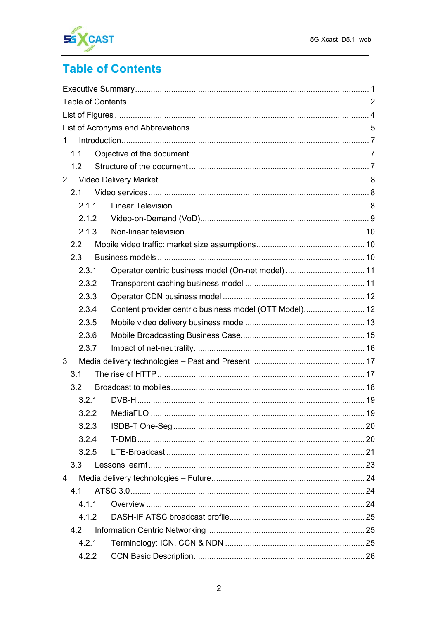

# **Table of Contents**

| $\mathbf 1$      |                                                        |  |
|------------------|--------------------------------------------------------|--|
| 1.1              |                                                        |  |
| 1.2              |                                                        |  |
| $\overline{2}$   |                                                        |  |
| 2.1              |                                                        |  |
| 2.1.1            |                                                        |  |
| 2.1.2            |                                                        |  |
| 2.1.3            |                                                        |  |
| 2.2              |                                                        |  |
| 2.3              |                                                        |  |
| 2.3.1            | Operator centric business model (On-net model)  11     |  |
| 2.3.2            |                                                        |  |
| 2.3.3            |                                                        |  |
| 2.3.4            | Content provider centric business model (OTT Model) 12 |  |
| 2.3.5            |                                                        |  |
| 2.3.6            |                                                        |  |
| 2.3.7            |                                                        |  |
| 3                |                                                        |  |
| 3.1              |                                                        |  |
| 3.2              |                                                        |  |
| 3.2.1            |                                                        |  |
|                  |                                                        |  |
| 3.2.3            |                                                        |  |
| 3.2.4            |                                                        |  |
| 3.2.5            |                                                        |  |
| 3.3 <sub>1</sub> |                                                        |  |
| 4                |                                                        |  |
| 4.1              |                                                        |  |
| 4.1.1            |                                                        |  |
| 4.1.2            |                                                        |  |
| 4.2              |                                                        |  |
| 4.2.1            |                                                        |  |
| 4.2.2            |                                                        |  |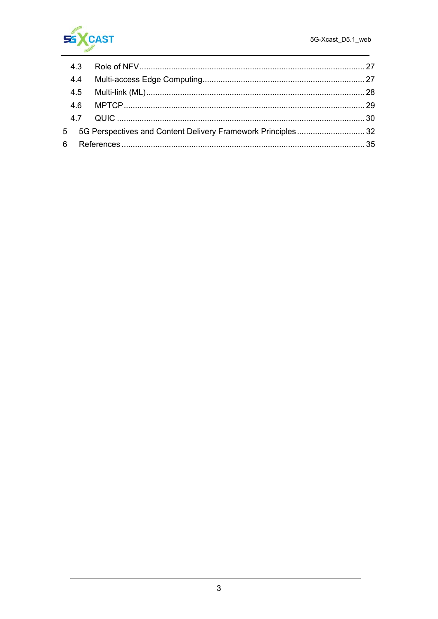

|  |  | 5 5G Perspectives and Content Delivery Framework Principles32 |
|--|--|---------------------------------------------------------------|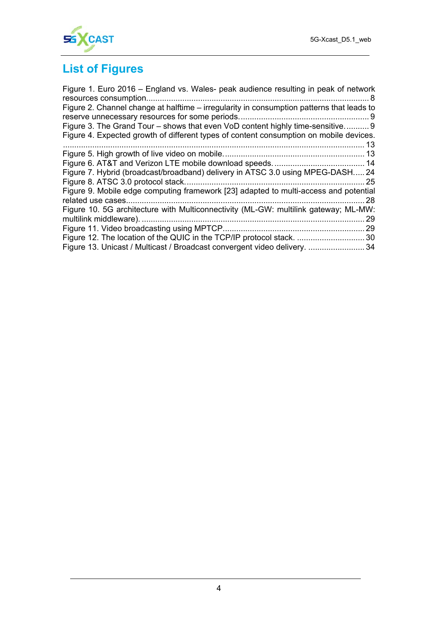

# **List of Figures**

| Figure 1. Euro 2016 – England vs. Wales- peak audience resulting in peak of network       |      |
|-------------------------------------------------------------------------------------------|------|
|                                                                                           |      |
| Figure 2. Channel change at halftime – irregularity in consumption patterns that leads to |      |
|                                                                                           |      |
| Figure 3. The Grand Tour – shows that even VoD content highly time-sensitive 9            |      |
| Figure 4. Expected growth of different types of content consumption on mobile devices.    |      |
|                                                                                           | 13   |
|                                                                                           |      |
|                                                                                           |      |
| Figure 7. Hybrid (broadcast/broadband) delivery in ATSC 3.0 using MPEG-DASH 24            |      |
|                                                                                           |      |
| Figure 9. Mobile edge computing framework [23] adapted to multi-access and potential      |      |
|                                                                                           | . 28 |
| Figure 10. 5G architecture with Multiconnectivity (ML-GW: multilink gateway; ML-MW:       |      |
|                                                                                           | 29   |
|                                                                                           |      |
| Figure 12. The location of the QUIC in the TCP/IP protocol stack.  30                     |      |
| Figure 13. Unicast / Multicast / Broadcast convergent video delivery. 34                  |      |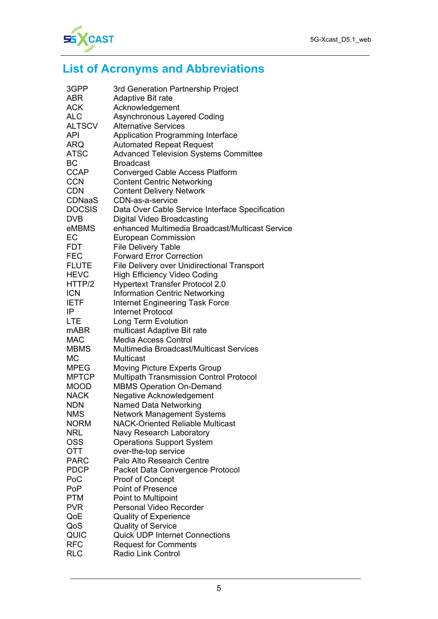

# **List of Acronyms and Abbreviations**

| 3GPP          | 3rd Generation Partnership Project              |
|---------------|-------------------------------------------------|
| <b>ABR</b>    | Adaptive Bit rate                               |
| <b>ACK</b>    | Acknowledgement                                 |
| <b>ALC</b>    | <b>Asynchronous Layered Coding</b>              |
| <b>ALTSCV</b> | <b>Alternative Services</b>                     |
| <b>API</b>    | <b>Application Programming Interface</b>        |
| <b>ARQ</b>    | <b>Automated Repeat Request</b>                 |
| <b>ATSC</b>   | <b>Advanced Television Systems Committee</b>    |
| ВC            | <b>Broadcast</b>                                |
| <b>CCAP</b>   | <b>Converged Cable Access Platform</b>          |
| <b>CCN</b>    | <b>Content Centric Networking</b>               |
| <b>CDN</b>    | <b>Content Delivery Network</b>                 |
| <b>CDNaaS</b> | CDN-as-a-service                                |
| <b>DOCSIS</b> | Data Over Cable Service Interface Specification |
| <b>DVB</b>    | <b>Digital Video Broadcasting</b>               |
| eMBMS         | enhanced Multimedia Broadcast/Multicast Service |
| EC            | <b>European Commission</b>                      |
| <b>FDT</b>    | <b>File Delivery Table</b>                      |
| <b>FEC</b>    | <b>Forward Error Correction</b>                 |
| <b>FLUTE</b>  | File Delivery over Unidirectional Transport     |
| <b>HEVC</b>   | <b>High Efficiency Video Coding</b>             |
| HTTP/2        | <b>Hypertext Transfer Protocol 2.0</b>          |
| <b>ICN</b>    | <b>Information Centric Networking</b>           |
| <b>IETF</b>   | <b>Internet Engineering Task Force</b>          |
| IP            | Internet Protocol                               |
| <b>LTE</b>    | <b>Long Term Evolution</b>                      |
| mABR          | multicast Adaptive Bit rate                     |
| <b>MAC</b>    | <b>Media Access Control</b>                     |
| <b>MBMS</b>   | Multimedia Broadcast/Multicast Services         |
| <b>MC</b>     | Multicast                                       |
| <b>MPEG</b>   | <b>Moving Picture Experts Group</b>             |
| <b>MPTCP</b>  | <b>Multipath Transmission Control Protocol</b>  |
| <b>MOOD</b>   | <b>MBMS Operation On-Demand</b>                 |
| <b>NACK</b>   | Negative Acknowledgement                        |
| <b>NDN</b>    | <b>Named Data Networking</b>                    |
| <b>NMS</b>    | <b>Network Management Systems</b>               |
| <b>NORM</b>   | <b>NACK-Oriented Reliable Multicast</b>         |
| <b>NRL</b>    | Navy Research Laboratory                        |
| <b>OSS</b>    | <b>Operations Support System</b>                |
| OTT           | over-the-top service                            |
| <b>PARC</b>   | Palo Alto Research Centre                       |
| <b>PDCP</b>   | Packet Data Convergence Protocol                |
| PoC           | Proof of Concept                                |
| <b>PoP</b>    | <b>Point of Presence</b>                        |
| <b>PTM</b>    | Point to Multipoint                             |
| <b>PVR</b>    | Personal Video Recorder                         |
| QoE           | <b>Quality of Experience</b>                    |
| QoS           | <b>Quality of Service</b>                       |
| QUIC          | <b>Quick UDP Internet Connections</b>           |
| <b>RFC</b>    | <b>Request for Comments</b>                     |
| <b>RLC</b>    | <b>Radio Link Control</b>                       |
|               |                                                 |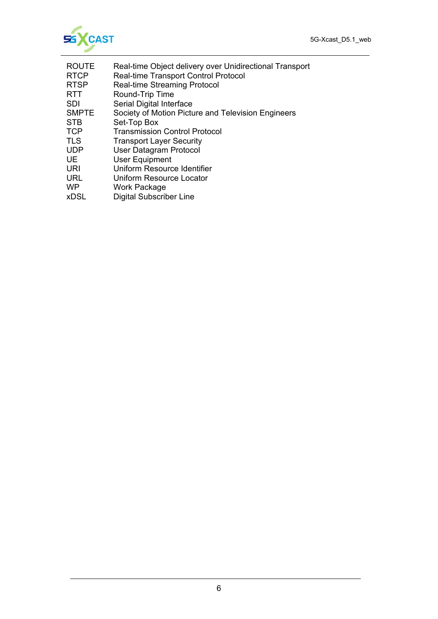

- ROUTE Real-time Object delivery over Unidirectional Transport
- RTCP Real-time Transport Control Protocol<br>RTSP Real-time Streaming Protocol RTSP Real-time Streaming Protocol<br>RTT Round-Trip Time
- Round-Trip Time
- SDI Serial Digital Interface
- SMPTE Society of Motion Picture and Television Engineers
- STB Set-Top Box
- TCP Transmission Control Protocol
- TLS Transport Layer Security
- UDP User Datagram Protocol
- UE User Equipment<br>URI Uniform Resourc
- Uniform Resource Identifier
- URL Uniform Resource Locator
- WP Work Package
- xDSL Digital Subscriber Line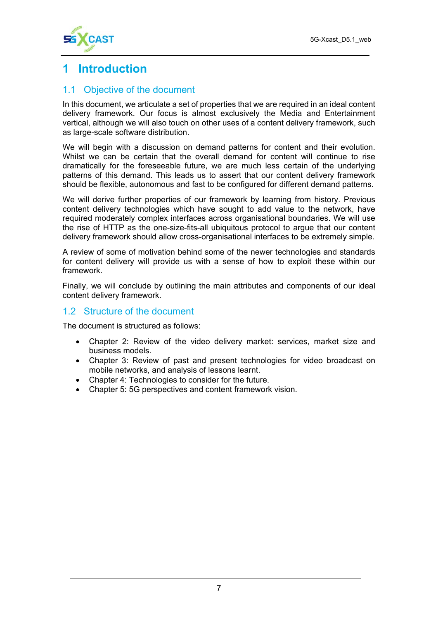

# **1 Introduction**

#### 1.1 Objective of the document

In this document, we articulate a set of properties that we are required in an ideal content delivery framework. Our focus is almost exclusively the Media and Entertainment vertical, although we will also touch on other uses of a content delivery framework, such as large-scale software distribution.

We will begin with a discussion on demand patterns for content and their evolution. Whilst we can be certain that the overall demand for content will continue to rise dramatically for the foreseeable future, we are much less certain of the underlying patterns of this demand. This leads us to assert that our content delivery framework should be flexible, autonomous and fast to be configured for different demand patterns.

We will derive further properties of our framework by learning from history. Previous content delivery technologies which have sought to add value to the network, have required moderately complex interfaces across organisational boundaries. We will use the rise of HTTP as the one-size-fits-all ubiquitous protocol to argue that our content delivery framework should allow cross-organisational interfaces to be extremely simple.

A review of some of motivation behind some of the newer technologies and standards for content delivery will provide us with a sense of how to exploit these within our framework.

Finally, we will conclude by outlining the main attributes and components of our ideal content delivery framework.

#### 1.2 Structure of the document

The document is structured as follows:

- Chapter 2: Review of the video delivery market: services, market size and business models.
- Chapter 3: Review of past and present technologies for video broadcast on mobile networks, and analysis of lessons learnt.
- Chapter 4: Technologies to consider for the future.
- Chapter 5: 5G perspectives and content framework vision.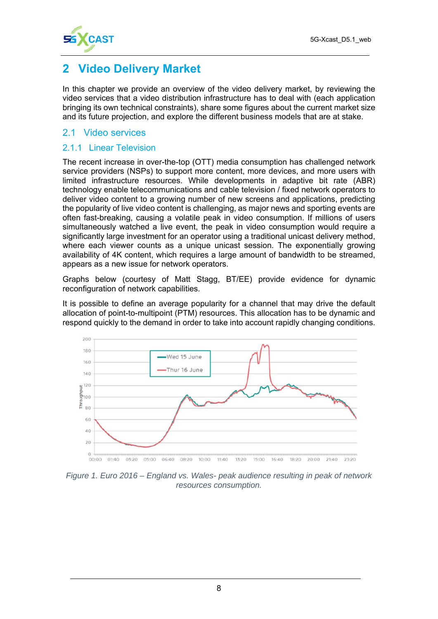

# **2 Video Delivery Market**

In this chapter we provide an overview of the video delivery market, by reviewing the video services that a video distribution infrastructure has to deal with (each application bringing its own technical constraints), share some figures about the current market size and its future projection, and explore the different business models that are at stake.

#### 2.1 Video services

#### 2.1.1 Linear Television

The recent increase in over-the-top (OTT) media consumption has challenged network service providers (NSPs) to support more content, more devices, and more users with limited infrastructure resources. While developments in adaptive bit rate (ABR) technology enable telecommunications and cable television / fixed network operators to deliver video content to a growing number of new screens and applications, predicting the popularity of live video content is challenging, as major news and sporting events are often fast-breaking, causing a volatile peak in video consumption. If millions of users simultaneously watched a live event, the peak in video consumption would require a significantly large investment for an operator using a traditional unicast delivery method, where each viewer counts as a unique unicast session. The exponentially growing availability of 4K content, which requires a large amount of bandwidth to be streamed, appears as a new issue for network operators.

Graphs below (courtesy of Matt Stagg, BT/EE) provide evidence for dynamic reconfiguration of network capabilities.

It is possible to define an average popularity for a channel that may drive the default allocation of point-to-multipoint (PTM) resources. This allocation has to be dynamic and respond quickly to the demand in order to take into account rapidly changing conditions.



*Figure 1. Euro 2016 – England vs. Wales- peak audience resulting in peak of network resources consumption.*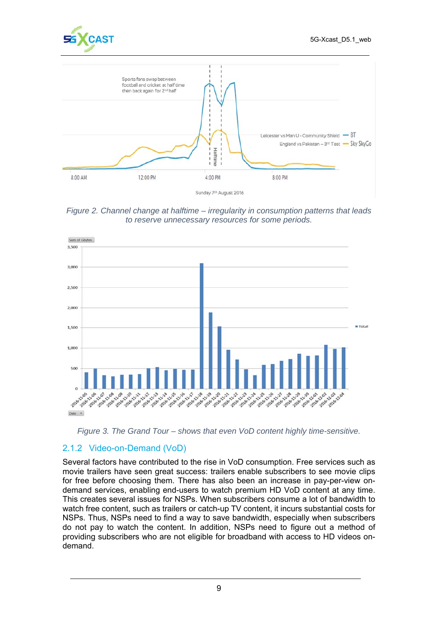





*Figure 2. Channel change at halftime – irregularity in consumption patterns that leads to reserve unnecessary resources for some periods.* 



*Figure 3. The Grand Tour – shows that even VoD content highly time-sensitive.* 

#### 2.1.2 Video-on-Demand (VoD)

Several factors have contributed to the rise in VoD consumption. Free services such as movie trailers have seen great success: trailers enable subscribers to see movie clips for free before choosing them. There has also been an increase in pay-per-view ondemand services, enabling end-users to watch premium HD VoD content at any time. This creates several issues for NSPs. When subscribers consume a lot of bandwidth to watch free content, such as trailers or catch-up TV content, it incurs substantial costs for NSPs. Thus, NSPs need to find a way to save bandwidth, especially when subscribers do not pay to watch the content. In addition, NSPs need to figure out a method of providing subscribers who are not eligible for broadband with access to HD videos ondemand.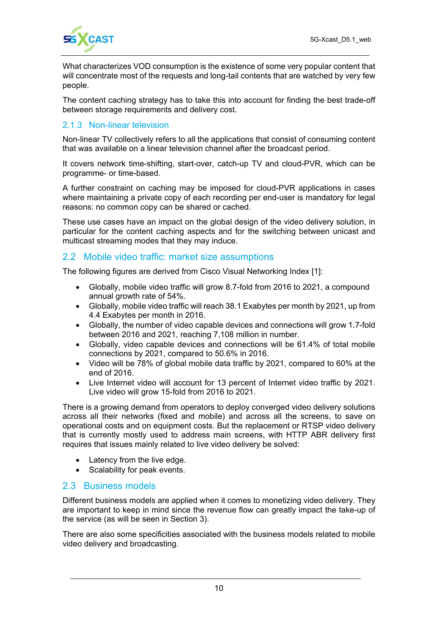

What characterizes VOD consumption is the existence of some very popular content that will concentrate most of the requests and long-tail contents that are watched by very few people.

The content caching strategy has to take this into account for finding the best trade-off between storage requirements and delivery cost.

#### 2.1.3 Non-linear television

Non-linear TV collectively refers to all the applications that consist of consuming content that was available on a linear television channel after the broadcast period.

It covers network time-shifting, start-over, catch-up TV and cloud-PVR, which can be programme- or time-based.

A further constraint on caching may be imposed for cloud-PVR applications in cases where maintaining a private copy of each recording per end-user is mandatory for legal reasons: no common copy can be shared or cached.

These use cases have an impact on the global design of the video delivery solution, in particular for the content caching aspects and for the switching between unicast and multicast streaming modes that they may induce.

#### 2.2 Mobile video traffic: market size assumptions

The following figures are derived from Cisco Visual Networking Index [1]:

- Globally, mobile video traffic will grow 8.7-fold from 2016 to 2021, a compound annual growth rate of 54%.
- Globally, mobile video traffic will reach 38.1 Exabytes per month by 2021, up from 4.4 Exabytes per month in 2016.
- Globally, the number of video capable devices and connections will grow 1.7-fold between 2016 and 2021, reaching 7,108 million in number.
- Globally, video capable devices and connections will be 61.4% of total mobile connections by 2021, compared to 50.6% in 2016.
- Video will be 78% of global mobile data traffic by 2021, compared to 60% at the end of 2016.
- Live Internet video will account for 13 percent of Internet video traffic by 2021. Live video will grow 15-fold from 2016 to 2021.

There is a growing demand from operators to deploy converged video delivery solutions across all their networks (fixed and mobile) and across all the screens, to save on operational costs and on equipment costs. But the replacement or RTSP video delivery that is currently mostly used to address main screens, with HTTP ABR delivery first requires that issues mainly related to live video delivery be solved:

- Latency from the live edge.
- Scalability for peak events.

#### 2.3 Business models

Different business models are applied when it comes to monetizing video delivery. They are important to keep in mind since the revenue flow can greatly impact the take-up of the service (as will be seen in Section 3).

There are also some specificities associated with the business models related to mobile video delivery and broadcasting.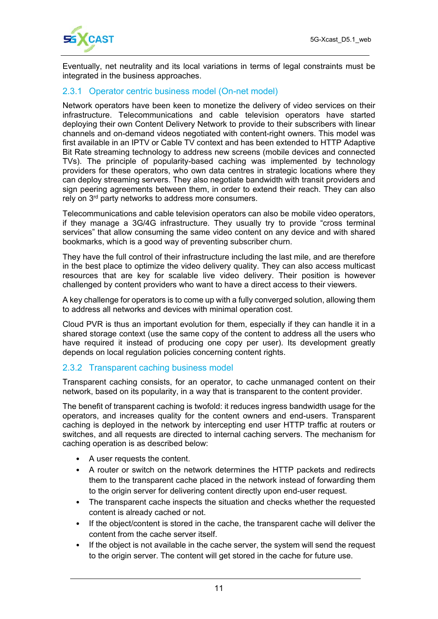

Eventually, net neutrality and its local variations in terms of legal constraints must be integrated in the business approaches.

#### 2.3.1 Operator centric business model (On-net model)

Network operators have been keen to monetize the delivery of video services on their infrastructure. Telecommunications and cable television operators have started deploying their own Content Delivery Network to provide to their subscribers with linear channels and on-demand videos negotiated with content-right owners. This model was first available in an IPTV or Cable TV context and has been extended to HTTP Adaptive Bit Rate streaming technology to address new screens (mobile devices and connected TVs). The principle of popularity-based caching was implemented by technology providers for these operators, who own data centres in strategic locations where they can deploy streaming servers. They also negotiate bandwidth with transit providers and sign peering agreements between them, in order to extend their reach. They can also rely on 3<sup>rd</sup> party networks to address more consumers.

Telecommunications and cable television operators can also be mobile video operators, if they manage a 3G/4G infrastructure. They usually try to provide "cross terminal services" that allow consuming the same video content on any device and with shared bookmarks, which is a good way of preventing subscriber churn.

They have the full control of their infrastructure including the last mile, and are therefore in the best place to optimize the video delivery quality. They can also access multicast resources that are key for scalable live video delivery. Their position is however challenged by content providers who want to have a direct access to their viewers.

A key challenge for operators is to come up with a fully converged solution, allowing them to address all networks and devices with minimal operation cost.

Cloud PVR is thus an important evolution for them, especially if they can handle it in a shared storage context (use the same copy of the content to address all the users who have required it instead of producing one copy per user). Its development greatly depends on local regulation policies concerning content rights.

#### 2.3.2 Transparent caching business model

Transparent caching consists, for an operator, to cache unmanaged content on their network, based on its popularity, in a way that is transparent to the content provider.

The benefit of transparent caching is twofold: it reduces ingress bandwidth usage for the operators, and increases quality for the content owners and end-users. Transparent caching is deployed in the network by intercepting end user HTTP traffic at routers or switches, and all requests are directed to internal caching servers. The mechanism for caching operation is as described below:

- A user requests the content.
- A router or switch on the network determines the HTTP packets and redirects them to the transparent cache placed in the network instead of forwarding them to the origin server for delivering content directly upon end-user request.
- The transparent cache inspects the situation and checks whether the requested content is already cached or not.
- If the object/content is stored in the cache, the transparent cache will deliver the content from the cache server itself.
- If the object is not available in the cache server, the system will send the request to the origin server. The content will get stored in the cache for future use.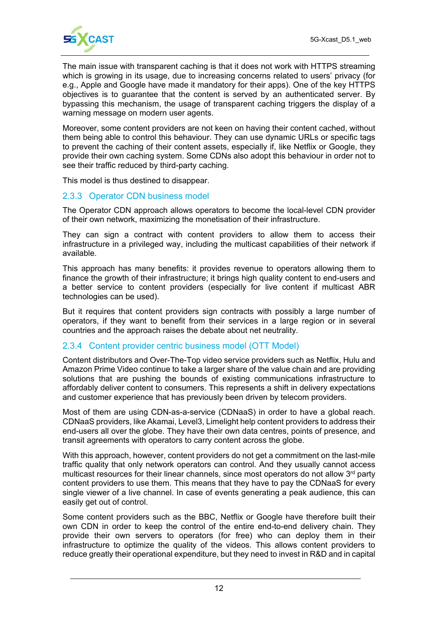

The main issue with transparent caching is that it does not work with HTTPS streaming which is growing in its usage, due to increasing concerns related to users' privacy (for e.g., Apple and Google have made it mandatory for their apps). One of the key HTTPS objectives is to guarantee that the content is served by an authenticated server. By bypassing this mechanism, the usage of transparent caching triggers the display of a warning message on modern user agents.

Moreover, some content providers are not keen on having their content cached, without them being able to control this behaviour. They can use dynamic URLs or specific tags to prevent the caching of their content assets, especially if, like Netflix or Google, they provide their own caching system. Some CDNs also adopt this behaviour in order not to see their traffic reduced by third-party caching.

This model is thus destined to disappear.

#### 2.3.3 Operator CDN business model

The Operator CDN approach allows operators to become the local-level CDN provider of their own network, maximizing the monetisation of their infrastructure.

They can sign a contract with content providers to allow them to access their infrastructure in a privileged way, including the multicast capabilities of their network if available.

This approach has many benefits: it provides revenue to operators allowing them to finance the growth of their infrastructure; it brings high quality content to end-users and a better service to content providers (especially for live content if multicast ABR technologies can be used).

But it requires that content providers sign contracts with possibly a large number of operators, if they want to benefit from their services in a large region or in several countries and the approach raises the debate about net neutrality.

#### 2.3.4 Content provider centric business model (OTT Model)

Content distributors and Over-The-Top video service providers such as Netflix, Hulu and Amazon Prime Video continue to take a larger share of the value chain and are providing solutions that are pushing the bounds of existing communications infrastructure to affordably deliver content to consumers. This represents a shift in delivery expectations and customer experience that has previously been driven by telecom providers.

Most of them are using CDN-as-a-service (CDNaaS) in order to have a global reach. CDNaaS providers, like Akamai, Level3, Limelight help content providers to address their end-users all over the globe. They have their own data centres, points of presence, and transit agreements with operators to carry content across the globe.

With this approach, however, content providers do not get a commitment on the last-mile traffic quality that only network operators can control. And they usually cannot access multicast resources for their linear channels, since most operators do not allow  $3<sup>rd</sup>$  party content providers to use them. This means that they have to pay the CDNaaS for every single viewer of a live channel. In case of events generating a peak audience, this can easily get out of control.

Some content providers such as the BBC, Netflix or Google have therefore built their own CDN in order to keep the control of the entire end-to-end delivery chain. They provide their own servers to operators (for free) who can deploy them in their infrastructure to optimize the quality of the videos. This allows content providers to reduce greatly their operational expenditure, but they need to invest in R&D and in capital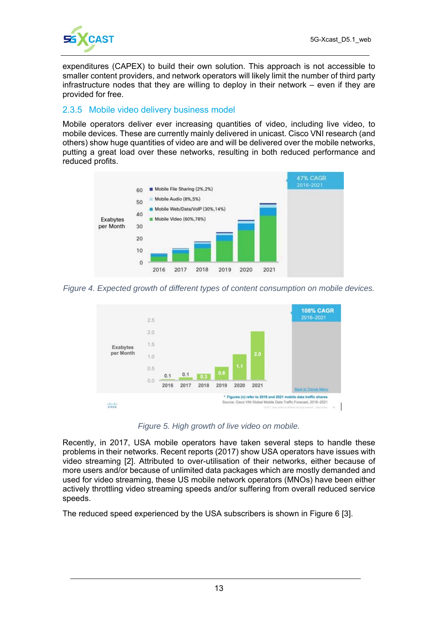

expenditures (CAPEX) to build their own solution. This approach is not accessible to smaller content providers, and network operators will likely limit the number of third party infrastructure nodes that they are willing to deploy in their network – even if they are provided for free.

#### 2.3.5 Mobile video delivery business model

Mobile operators deliver ever increasing quantities of video, including live video, to mobile devices. These are currently mainly delivered in unicast. Cisco VNI research (and others) show huge quantities of video are and will be delivered over the mobile networks, putting a great load over these networks, resulting in both reduced performance and reduced profits.



*Figure 4. Expected growth of different types of content consumption on mobile devices.* 



*Figure 5. High growth of live video on mobile.* 

Recently, in 2017, USA mobile operators have taken several steps to handle these problems in their networks. Recent reports (2017) show USA operators have issues with video streaming [2]. Attributed to over-utilisation of their networks, either because of more users and/or because of unlimited data packages which are mostly demanded and used for video streaming, these US mobile network operators (MNOs) have been either actively throttling video streaming speeds and/or suffering from overall reduced service speeds.

The reduced speed experienced by the USA subscribers is shown in Figure 6 [3].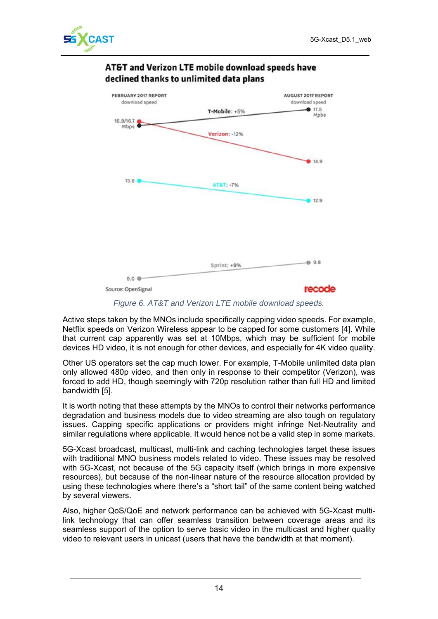



#### AT&T and Verizon LTE mobile download speeds have declined thanks to unlimited data plans

*Figure 6. AT&T and Verizon LTE mobile download speeds.* 

Active steps taken by the MNOs include specifically capping video speeds. For example, Netflix speeds on Verizon Wireless appear to be capped for some customers [4]. While that current cap apparently was set at 10Mbps, which may be sufficient for mobile devices HD video, it is not enough for other devices, and especially for 4K video quality.

Other US operators set the cap much lower. For example, T-Mobile unlimited data plan only allowed 480p video, and then only in response to their competitor (Verizon), was forced to add HD, though seemingly with 720p resolution rather than full HD and limited bandwidth [5].

It is worth noting that these attempts by the MNOs to control their networks performance degradation and business models due to video streaming are also tough on regulatory issues. Capping specific applications or providers might infringe Net-Neutrality and similar regulations where applicable. It would hence not be a valid step in some markets.

5G-Xcast broadcast, multicast, multi-link and caching technologies target these issues with traditional MNO business models related to video. These issues may be resolved with 5G-Xcast, not because of the 5G capacity itself (which brings in more expensive resources), but because of the non-linear nature of the resource allocation provided by using these technologies where there's a "short tail" of the same content being watched by several viewers.

Also, higher QoS/QoE and network performance can be achieved with 5G-Xcast multilink technology that can offer seamless transition between coverage areas and its seamless support of the option to serve basic video in the multicast and higher quality video to relevant users in unicast (users that have the bandwidth at that moment).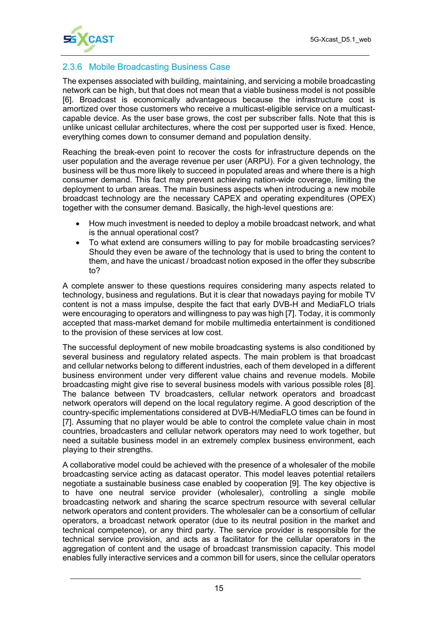

#### 2.3.6 Mobile Broadcasting Business Case

The expenses associated with building, maintaining, and servicing a mobile broadcasting network can be high, but that does not mean that a viable business model is not possible [6]. Broadcast is economically advantageous because the infrastructure cost is amortized over those customers who receive a multicast-eligible service on a multicastcapable device. As the user base grows, the cost per subscriber falls. Note that this is unlike unicast cellular architectures, where the cost per supported user is fixed. Hence, everything comes down to consumer demand and population density.

Reaching the break-even point to recover the costs for infrastructure depends on the user population and the average revenue per user (ARPU). For a given technology, the business will be thus more likely to succeed in populated areas and where there is a high consumer demand. This fact may prevent achieving nation-wide coverage, limiting the deployment to urban areas. The main business aspects when introducing a new mobile broadcast technology are the necessary CAPEX and operating expenditures (OPEX) together with the consumer demand. Basically, the high-level questions are:

- How much investment is needed to deploy a mobile broadcast network, and what is the annual operational cost?
- To what extend are consumers willing to pay for mobile broadcasting services? Should they even be aware of the technology that is used to bring the content to them, and have the unicast / broadcast notion exposed in the offer they subscribe to?

A complete answer to these questions requires considering many aspects related to technology, business and regulations. But it is clear that nowadays paying for mobile TV content is not a mass impulse, despite the fact that early DVB-H and MediaFLO trials were encouraging to operators and willingness to pay was high [7]. Today, it is commonly accepted that mass-market demand for mobile multimedia entertainment is conditioned to the provision of these services at low cost.

The successful deployment of new mobile broadcasting systems is also conditioned by several business and regulatory related aspects. The main problem is that broadcast and cellular networks belong to different industries, each of them developed in a different business environment under very different value chains and revenue models. Mobile broadcasting might give rise to several business models with various possible roles [8]. The balance between TV broadcasters, cellular network operators and broadcast network operators will depend on the local regulatory regime. A good description of the country-specific implementations considered at DVB-H/MediaFLO times can be found in [7]. Assuming that no player would be able to control the complete value chain in most countries, broadcasters and cellular network operators may need to work together, but need a suitable business model in an extremely complex business environment, each playing to their strengths.

A collaborative model could be achieved with the presence of a wholesaler of the mobile broadcasting service acting as datacast operator. This model leaves potential retailers negotiate a sustainable business case enabled by cooperation [9]. The key objective is to have one neutral service provider (wholesaler), controlling a single mobile broadcasting network and sharing the scarce spectrum resource with several cellular network operators and content providers. The wholesaler can be a consortium of cellular operators, a broadcast network operator (due to its neutral position in the market and technical competence), or any third party. The service provider is responsible for the technical service provision, and acts as a facilitator for the cellular operators in the aggregation of content and the usage of broadcast transmission capacity. This model enables fully interactive services and a common bill for users, since the cellular operators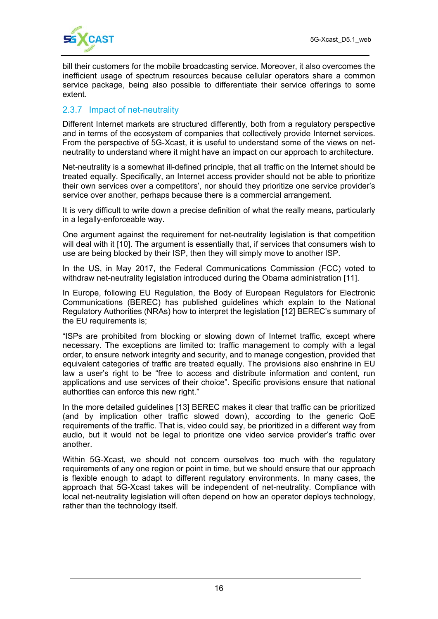

bill their customers for the mobile broadcasting service. Moreover, it also overcomes the inefficient usage of spectrum resources because cellular operators share a common service package, being also possible to differentiate their service offerings to some extent.

#### 2.3.7 Impact of net-neutrality

Different Internet markets are structured differently, both from a regulatory perspective and in terms of the ecosystem of companies that collectively provide Internet services. From the perspective of 5G-Xcast, it is useful to understand some of the views on netneutrality to understand where it might have an impact on our approach to architecture.

Net-neutrality is a somewhat ill-defined principle, that all traffic on the Internet should be treated equally. Specifically, an Internet access provider should not be able to prioritize their own services over a competitors', nor should they prioritize one service provider's service over another, perhaps because there is a commercial arrangement.

It is very difficult to write down a precise definition of what the really means, particularly in a legally-enforceable way.

One argument against the requirement for net-neutrality legislation is that competition will deal with it [10]. The argument is essentially that, if services that consumers wish to use are being blocked by their ISP, then they will simply move to another ISP.

In the US, in May 2017, the Federal Communications Commission (FCC) voted to withdraw net-neutrality legislation introduced during the Obama administration [11].

In Europe, following EU Regulation, the Body of European Regulators for Electronic Communications (BEREC) has published guidelines which explain to the National Regulatory Authorities (NRAs) how to interpret the legislation [12] BEREC's summary of the EU requirements is;

"ISPs are prohibited from blocking or slowing down of Internet traffic, except where necessary. The exceptions are limited to: traffic management to comply with a legal order, to ensure network integrity and security, and to manage congestion, provided that equivalent categories of traffic are treated equally. The provisions also enshrine in EU law a user's right to be "free to access and distribute information and content, run applications and use services of their choice". Specific provisions ensure that national authorities can enforce this new right."

In the more detailed guidelines [13] BEREC makes it clear that traffic can be prioritized (and by implication other traffic slowed down), according to the generic QoE requirements of the traffic. That is, video could say, be prioritized in a different way from audio, but it would not be legal to prioritize one video service provider's traffic over another.

Within 5G-Xcast, we should not concern ourselves too much with the regulatory requirements of any one region or point in time, but we should ensure that our approach is flexible enough to adapt to different regulatory environments. In many cases, the approach that 5G-Xcast takes will be independent of net-neutrality. Compliance with local net-neutrality legislation will often depend on how an operator deploys technology, rather than the technology itself.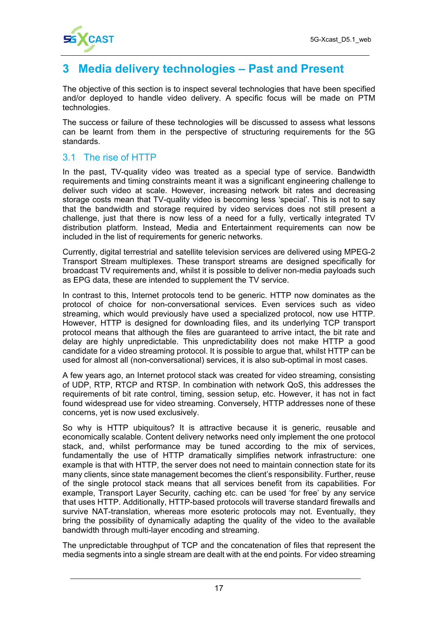

# **3 Media delivery technologies – Past and Present**

The objective of this section is to inspect several technologies that have been specified and/or deployed to handle video delivery. A specific focus will be made on PTM technologies.

The success or failure of these technologies will be discussed to assess what lessons can be learnt from them in the perspective of structuring requirements for the 5G standards.

#### 3.1 The rise of HTTP

In the past, TV-quality video was treated as a special type of service. Bandwidth requirements and timing constraints meant it was a significant engineering challenge to deliver such video at scale. However, increasing network bit rates and decreasing storage costs mean that TV-quality video is becoming less 'special'. This is not to say that the bandwidth and storage required by video services does not still present a challenge, just that there is now less of a need for a fully, vertically integrated TV distribution platform. Instead, Media and Entertainment requirements can now be included in the list of requirements for generic networks.

Currently, digital terrestrial and satellite television services are delivered using MPEG-2 Transport Stream multiplexes. These transport streams are designed specifically for broadcast TV requirements and, whilst it is possible to deliver non-media payloads such as EPG data, these are intended to supplement the TV service.

In contrast to this, Internet protocols tend to be generic. HTTP now dominates as the protocol of choice for non-conversational services. Even services such as video streaming, which would previously have used a specialized protocol, now use HTTP. However, HTTP is designed for downloading files, and its underlying TCP transport protocol means that although the files are guaranteed to arrive intact, the bit rate and delay are highly unpredictable. This unpredictability does not make HTTP a good candidate for a video streaming protocol. It is possible to argue that, whilst HTTP can be used for almost all (non-conversational) services, it is also sub-optimal in most cases.

A few years ago, an Internet protocol stack was created for video streaming, consisting of UDP, RTP, RTCP and RTSP. In combination with network QoS, this addresses the requirements of bit rate control, timing, session setup, etc. However, it has not in fact found widespread use for video streaming. Conversely, HTTP addresses none of these concerns, yet is now used exclusively.

So why is HTTP ubiquitous? It is attractive because it is generic, reusable and economically scalable. Content delivery networks need only implement the one protocol stack, and, whilst performance may be tuned according to the mix of services, fundamentally the use of HTTP dramatically simplifies network infrastructure: one example is that with HTTP, the server does not need to maintain connection state for its many clients, since state management becomes the client's responsibility. Further, reuse of the single protocol stack means that all services benefit from its capabilities. For example, Transport Layer Security, caching etc. can be used 'for free' by any service that uses HTTP. Additionally, HTTP-based protocols will traverse standard firewalls and survive NAT-translation, whereas more esoteric protocols may not. Eventually, they bring the possibility of dynamically adapting the quality of the video to the available bandwidth through multi-layer encoding and streaming.

The unpredictable throughput of TCP and the concatenation of files that represent the media segments into a single stream are dealt with at the end points. For video streaming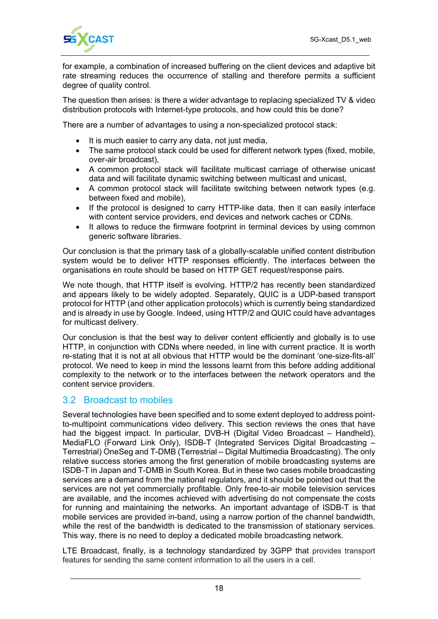

for example, a combination of increased buffering on the client devices and adaptive bit rate streaming reduces the occurrence of stalling and therefore permits a sufficient degree of quality control.

The question then arises: is there a wider advantage to replacing specialized TV & video distribution protocols with Internet-type protocols, and how could this be done?

There are a number of advantages to using a non-specialized protocol stack:

- It is much easier to carry any data, not just media,
- The same protocol stack could be used for different network types (fixed, mobile, over-air broadcast),
- A common protocol stack will facilitate multicast carriage of otherwise unicast data and will facilitate dynamic switching between multicast and unicast,
- A common protocol stack will facilitate switching between network types (e.g. between fixed and mobile),
- If the protocol is designed to carry HTTP-like data, then it can easily interface with content service providers, end devices and network caches or CDNs.
- It allows to reduce the firmware footprint in terminal devices by using common generic software libraries.

Our conclusion is that the primary task of a globally-scalable unified content distribution system would be to deliver HTTP responses efficiently. The interfaces between the organisations en route should be based on HTTP GET request/response pairs.

We note though, that HTTP itself is evolving. HTTP/2 has recently been standardized and appears likely to be widely adopted. Separately, QUIC is a UDP-based transport protocol for HTTP (and other application protocols) which is currently being standardized and is already in use by Google. Indeed, using HTTP/2 and QUIC could have advantages for multicast delivery.

Our conclusion is that the best way to deliver content efficiently and globally is to use HTTP, in conjunction with CDNs where needed, in line with current practice. It is worth re-stating that it is not at all obvious that HTTP would be the dominant 'one-size-fits-all' protocol. We need to keep in mind the lessons learnt from this before adding additional complexity to the network or to the interfaces between the network operators and the content service providers.

#### 3.2 Broadcast to mobiles

Several technologies have been specified and to some extent deployed to address pointto-multipoint communications video delivery. This section reviews the ones that have had the biggest impact. In particular, DVB-H (Digital Video Broadcast – Handheld), MediaFLO (Forward Link Only), ISDB-T (Integrated Services Digital Broadcasting – Terrestrial) OneSeg and T-DMB (Terrestrial – Digital Multimedia Broadcasting). The only relative success stories among the first generation of mobile broadcasting systems are ISDB-T in Japan and T-DMB in South Korea. But in these two cases mobile broadcasting services are a demand from the national regulators, and it should be pointed out that the services are not yet commercially profitable. Only free-to-air mobile television services are available, and the incomes achieved with advertising do not compensate the costs for running and maintaining the networks. An important advantage of ISDB-T is that mobile services are provided in-band, using a narrow portion of the channel bandwidth, while the rest of the bandwidth is dedicated to the transmission of stationary services. This way, there is no need to deploy a dedicated mobile broadcasting network.

LTE Broadcast, finally, is a technology standardized by 3GPP that provides transport features for sending the same content information to all the users in a cell.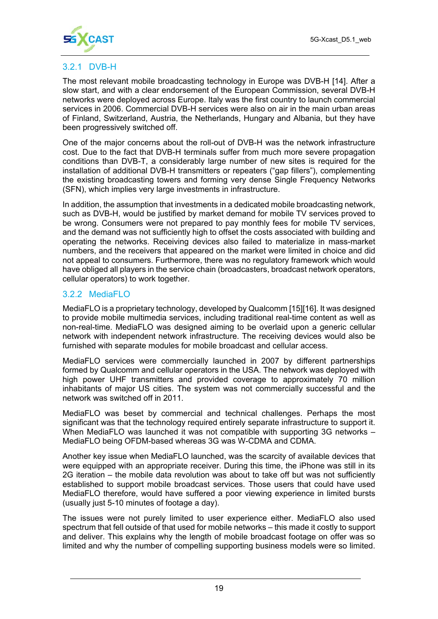

#### 3.2.1 DVB-H

The most relevant mobile broadcasting technology in Europe was DVB-H [14]. After a slow start, and with a clear endorsement of the European Commission, several DVB-H networks were deployed across Europe. Italy was the first country to launch commercial services in 2006. Commercial DVB-H services were also on air in the main urban areas of Finland, Switzerland, Austria, the Netherlands, Hungary and Albania, but they have been progressively switched off.

One of the major concerns about the roll-out of DVB-H was the network infrastructure cost. Due to the fact that DVB-H terminals suffer from much more severe propagation conditions than DVB-T, a considerably large number of new sites is required for the installation of additional DVB-H transmitters or repeaters ("gap fillers"), complementing the existing broadcasting towers and forming very dense Single Frequency Networks (SFN), which implies very large investments in infrastructure.

In addition, the assumption that investments in a dedicated mobile broadcasting network, such as DVB-H, would be justified by market demand for mobile TV services proved to be wrong. Consumers were not prepared to pay monthly fees for mobile TV services, and the demand was not sufficiently high to offset the costs associated with building and operating the networks. Receiving devices also failed to materialize in mass-market numbers, and the receivers that appeared on the market were limited in choice and did not appeal to consumers. Furthermore, there was no regulatory framework which would have obliged all players in the service chain (broadcasters, broadcast network operators, cellular operators) to work together.

#### 3.2.2 MediaFLO

MediaFLO is a proprietary technology, developed by Qualcomm [15][16]. It was designed to provide mobile multimedia services, including traditional real-time content as well as non-real-time. MediaFLO was designed aiming to be overlaid upon a generic cellular network with independent network infrastructure. The receiving devices would also be furnished with separate modules for mobile broadcast and cellular access.

MediaFLO services were commercially launched in 2007 by different partnerships formed by Qualcomm and cellular operators in the USA. The network was deployed with high power UHF transmitters and provided coverage to approximately 70 million inhabitants of major US cities. The system was not commercially successful and the network was switched off in 2011.

MediaFLO was beset by commercial and technical challenges. Perhaps the most significant was that the technology required entirely separate infrastructure to support it. When MediaFLO was launched it was not compatible with supporting 3G networks – MediaFLO being OFDM-based whereas 3G was W-CDMA and CDMA.

Another key issue when MediaFLO launched, was the scarcity of available devices that were equipped with an appropriate receiver. During this time, the iPhone was still in its 2G iteration – the mobile data revolution was about to take off but was not sufficiently established to support mobile broadcast services. Those users that could have used MediaFLO therefore, would have suffered a poor viewing experience in limited bursts (usually just 5-10 minutes of footage a day).

The issues were not purely limited to user experience either. MediaFLO also used spectrum that fell outside of that used for mobile networks – this made it costly to support and deliver. This explains why the length of mobile broadcast footage on offer was so limited and why the number of compelling supporting business models were so limited.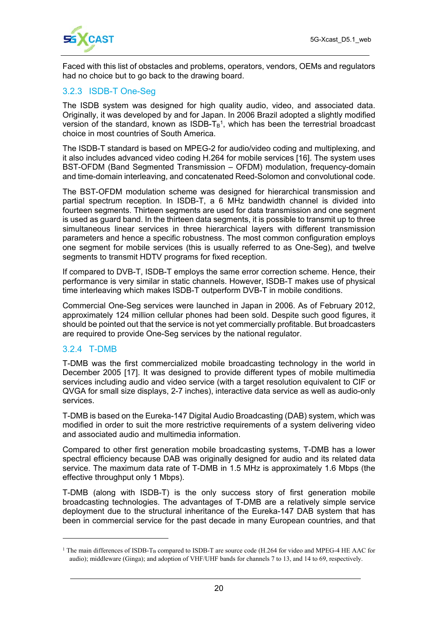

Faced with this list of obstacles and problems, operators, vendors, OEMs and regulators had no choice but to go back to the drawing board.

#### 3.2.3 ISDB-T One-Seg

The ISDB system was designed for high quality audio, video, and associated data. Originally, it was developed by and for Japan. In 2006 Brazil adopted a slightly modified version of the standard, known as  $ISDB-T_B<sup>1</sup>$ , which has been the terrestrial broadcast choice in most countries of South America.

The ISDB-T standard is based on MPEG-2 for audio/video coding and multiplexing, and it also includes advanced video coding H.264 for mobile services [16]. The system uses BST-OFDM (Band Segmented Transmission – OFDM) modulation, frequency-domain and time-domain interleaving, and concatenated Reed-Solomon and convolutional code.

The BST-OFDM modulation scheme was designed for hierarchical transmission and partial spectrum reception. In ISDB-T, a 6 MHz bandwidth channel is divided into fourteen segments. Thirteen segments are used for data transmission and one segment is used as guard band. In the thirteen data segments, it is possible to transmit up to three simultaneous linear services in three hierarchical layers with different transmission parameters and hence a specific robustness. The most common configuration employs one segment for mobile services (this is usually referred to as One-Seg), and twelve segments to transmit HDTV programs for fixed reception.

If compared to DVB-T, ISDB-T employs the same error correction scheme. Hence, their performance is very similar in static channels. However, ISDB-T makes use of physical time interleaving which makes ISDB-T outperform DVB-T in mobile conditions.

Commercial One-Seg services were launched in Japan in 2006. As of February 2012, approximately 124 million cellular phones had been sold. Despite such good figures, it should be pointed out that the service is not yet commercially profitable. But broadcasters are required to provide One-Seg services by the national regulator.

#### 3.2.4 T-DMB

 $\overline{a}$ 

T-DMB was the first commercialized mobile broadcasting technology in the world in December 2005 [17]. It was designed to provide different types of mobile multimedia services including audio and video service (with a target resolution equivalent to CIF or QVGA for small size displays, 2-7 inches), interactive data service as well as audio-only services.

T-DMB is based on the Eureka-147 Digital Audio Broadcasting (DAB) system, which was modified in order to suit the more restrictive requirements of a system delivering video and associated audio and multimedia information.

Compared to other first generation mobile broadcasting systems, T-DMB has a lower spectral efficiency because DAB was originally designed for audio and its related data service. The maximum data rate of T-DMB in 1.5 MHz is approximately 1.6 Mbps (the effective throughput only 1 Mbps).

T-DMB (along with ISDB-T) is the only success story of first generation mobile broadcasting technologies. The advantages of T-DMB are a relatively simple service deployment due to the structural inheritance of the Eureka-147 DAB system that has been in commercial service for the past decade in many European countries, and that

 $1$  The main differences of ISDB-T<sub>B</sub> compared to ISDB-T are source code (H.264 for video and MPEG-4 HE AAC for audio); middleware (Ginga); and adoption of VHF/UHF bands for channels 7 to 13, and 14 to 69, respectively.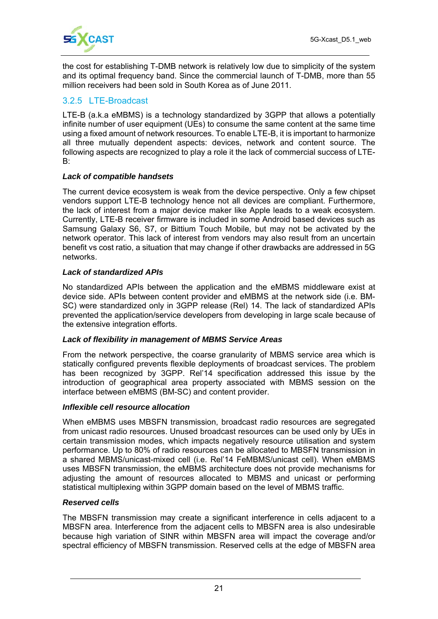

the cost for establishing T-DMB network is relatively low due to simplicity of the system and its optimal frequency band. Since the commercial launch of T-DMB, more than 55 million receivers had been sold in South Korea as of June 2011.

#### 3.2.5 LTE-Broadcast

LTE-B (a.k.a eMBMS) is a technology standardized by 3GPP that allows a potentially infinite number of user equipment (UEs) to consume the same content at the same time using a fixed amount of network resources. To enable LTE-B, it is important to harmonize all three mutually dependent aspects: devices, network and content source. The following aspects are recognized to play a role it the lack of commercial success of LTE-B:

#### *Lack of compatible handsets*

The current device ecosystem is weak from the device perspective. Only a few chipset vendors support LTE-B technology hence not all devices are compliant. Furthermore, the lack of interest from a major device maker like Apple leads to a weak ecosystem. Currently, LTE-B receiver firmware is included in some Android based devices such as Samsung Galaxy S6, S7, or Bittium Touch Mobile, but may not be activated by the network operator. This lack of interest from vendors may also result from an uncertain benefit vs cost ratio, a situation that may change if other drawbacks are addressed in 5G networks.

#### *Lack of standardized APIs*

No standardized APIs between the application and the eMBMS middleware exist at device side. APIs between content provider and eMBMS at the network side (i.e. BM-SC) were standardized only in 3GPP release (Rel) 14. The lack of standardized APIs prevented the application/service developers from developing in large scale because of the extensive integration efforts.

#### *Lack of flexibility in management of MBMS Service Areas*

From the network perspective, the coarse granularity of MBMS service area which is statically configured prevents flexible deployments of broadcast services. The problem has been recognized by 3GPP. Rel'14 specification addressed this issue by the introduction of geographical area property associated with MBMS session on the interface between eMBMS (BM-SC) and content provider.

#### *Inflexible cell resource allocation*

When eMBMS uses MBSFN transmission, broadcast radio resources are segregated from unicast radio resources. Unused broadcast resources can be used only by UEs in certain transmission modes, which impacts negatively resource utilisation and system performance. Up to 80% of radio resources can be allocated to MBSFN transmission in a shared MBMS/unicast-mixed cell (i.e. Rel'14 FeMBMS/unicast cell). When eMBMS uses MBSFN transmission, the eMBMS architecture does not provide mechanisms for adjusting the amount of resources allocated to MBMS and unicast or performing statistical multiplexing within 3GPP domain based on the level of MBMS traffic.

#### *Reserved cells*

The MBSFN transmission may create a significant interference in cells adjacent to a MBSFN area. Interference from the adjacent cells to MBSFN area is also undesirable because high variation of SINR within MBSFN area will impact the coverage and/or spectral efficiency of MBSFN transmission. Reserved cells at the edge of MBSFN area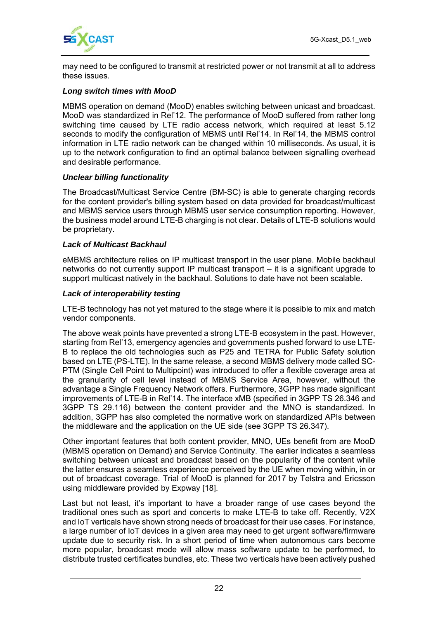

may need to be configured to transmit at restricted power or not transmit at all to address these issues.

#### *Long switch times with MooD*

MBMS operation on demand (MooD) enables switching between unicast and broadcast. MooD was standardized in Rel'12. The performance of MooD suffered from rather long switching time caused by LTE radio access network, which required at least 5.12 seconds to modify the configuration of MBMS until Rel'14. In Rel'14, the MBMS control information in LTE radio network can be changed within 10 milliseconds. As usual, it is up to the network configuration to find an optimal balance between signalling overhead and desirable performance.

#### *Unclear billing functionality*

The Broadcast/Multicast Service Centre (BM-SC) is able to generate charging records for the content provider's billing system based on data provided for broadcast/multicast and MBMS service users through MBMS user service consumption reporting. However, the business model around LTE-B charging is not clear. Details of LTE-B solutions would be proprietary.

#### *Lack of Multicast Backhaul*

eMBMS architecture relies on IP multicast transport in the user plane. Mobile backhaul networks do not currently support IP multicast transport – it is a significant upgrade to support multicast natively in the backhaul. Solutions to date have not been scalable.

#### *Lack of interoperability testing*

LTE-B technology has not yet matured to the stage where it is possible to mix and match vendor components.

The above weak points have prevented a strong LTE-B ecosystem in the past. However, starting from Rel'13, emergency agencies and governments pushed forward to use LTE-B to replace the old technologies such as P25 and TETRA for Public Safety solution based on LTE (PS-LTE). In the same release, a second MBMS delivery mode called SC-PTM (Single Cell Point to Multipoint) was introduced to offer a flexible coverage area at the granularity of cell level instead of MBMS Service Area, however, without the advantage a Single Frequency Network offers. Furthermore, 3GPP has made significant improvements of LTE-B in Rel'14. The interface xMB (specified in 3GPP TS 26.346 and 3GPP TS 29.116) between the content provider and the MNO is standardized. In addition, 3GPP has also completed the normative work on standardized APIs between the middleware and the application on the UE side (see 3GPP TS 26.347).

Other important features that both content provider, MNO, UEs benefit from are MooD (MBMS operation on Demand) and Service Continuity. The earlier indicates a seamless switching between unicast and broadcast based on the popularity of the content while the latter ensures a seamless experience perceived by the UE when moving within, in or out of broadcast coverage. Trial of MooD is planned for 2017 by Telstra and Ericsson using middleware provided by Expway [18].

Last but not least, it's important to have a broader range of use cases beyond the traditional ones such as sport and concerts to make LTE-B to take off. Recently, V2X and IoT verticals have shown strong needs of broadcast for their use cases. For instance, a large number of IoT devices in a given area may need to get urgent software/firmware update due to security risk. In a short period of time when autonomous cars become more popular, broadcast mode will allow mass software update to be performed, to distribute trusted certificates bundles, etc. These two verticals have been actively pushed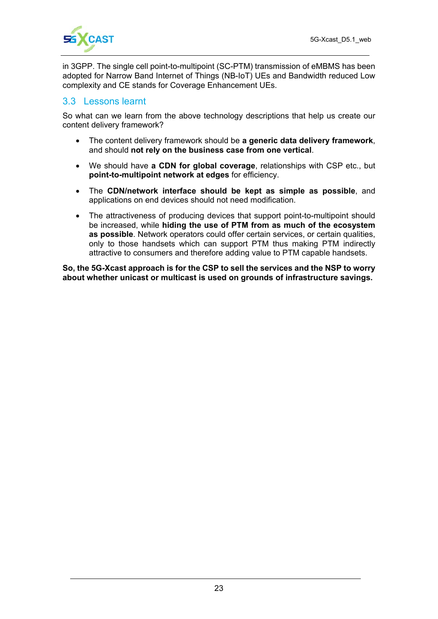in 3GPP. The single cell point-to-multipoint (SC-PTM) transmission of eMBMS has been adopted for Narrow Band Internet of Things (NB-IoT) UEs and Bandwidth reduced Low complexity and CE stands for Coverage Enhancement UEs.

#### 3.3 Lessons learnt

So what can we learn from the above technology descriptions that help us create our content delivery framework?

- The content delivery framework should be **a generic data delivery framework**, and should **not rely on the business case from one vertical**.
- We should have **a CDN for global coverage**, relationships with CSP etc., but **point-to-multipoint network at edges** for efficiency.
- The **CDN/network interface should be kept as simple as possible**, and applications on end devices should not need modification.
- The attractiveness of producing devices that support point-to-multipoint should be increased, while **hiding the use of PTM from as much of the ecosystem as possible**. Network operators could offer certain services, or certain qualities, only to those handsets which can support PTM thus making PTM indirectly attractive to consumers and therefore adding value to PTM capable handsets.

**So, the 5G-Xcast approach is for the CSP to sell the services and the NSP to worry about whether unicast or multicast is used on grounds of infrastructure savings.**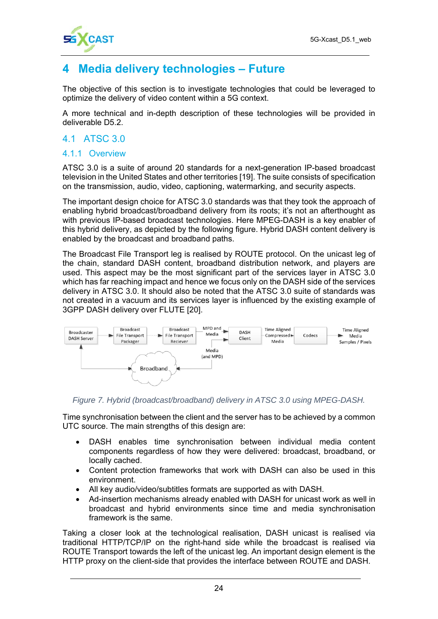

# **4 Media delivery technologies – Future**

The objective of this section is to investigate technologies that could be leveraged to optimize the delivery of video content within a 5G context.

A more technical and in-depth description of these technologies will be provided in deliverable D5.2.

#### 4.1 ATSC 3.0

#### 4.1.1 Overview

ATSC 3.0 is a suite of around 20 standards for a next-generation IP-based broadcast television in the United States and other territories [19]. The suite consists of specification on the transmission, audio, video, captioning, watermarking, and security aspects.

The important design choice for ATSC 3.0 standards was that they took the approach of enabling hybrid broadcast/broadband delivery from its roots; it's not an afterthought as with previous IP-based broadcast technologies. Here MPEG-DASH is a key enabler of this hybrid delivery, as depicted by the following figure. Hybrid DASH content delivery is enabled by the broadcast and broadband paths.

The Broadcast File Transport leg is realised by ROUTE protocol. On the unicast leg of the chain, standard DASH content, broadband distribution network, and players are used. This aspect may be the most significant part of the services layer in ATSC 3.0 which has far reaching impact and hence we focus only on the DASH side of the services delivery in ATSC 3.0. It should also be noted that the ATSC 3.0 suite of standards was not created in a vacuum and its services layer is influenced by the existing example of 3GPP DASH delivery over FLUTE [20].



*Figure 7. Hybrid (broadcast/broadband) delivery in ATSC 3.0 using MPEG-DASH.* 

Time synchronisation between the client and the server has to be achieved by a common UTC source. The main strengths of this design are:

- DASH enables time synchronisation between individual media content components regardless of how they were delivered: broadcast, broadband, or locally cached.
- Content protection frameworks that work with DASH can also be used in this environment.
- All key audio/video/subtitles formats are supported as with DASH.
- Ad-insertion mechanisms already enabled with DASH for unicast work as well in broadcast and hybrid environments since time and media synchronisation framework is the same.

Taking a closer look at the technological realisation, DASH unicast is realised via traditional HTTP/TCP/IP on the right-hand side while the broadcast is realised via ROUTE Transport towards the left of the unicast leg. An important design element is the HTTP proxy on the client-side that provides the interface between ROUTE and DASH.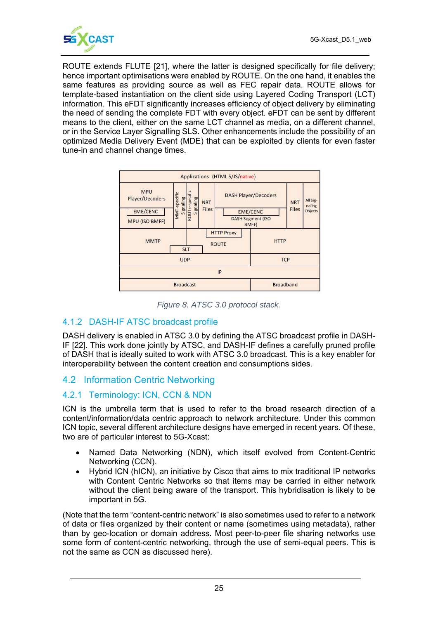

ROUTE extends FLUTE [21], where the latter is designed specifically for file delivery; hence important optimisations were enabled by ROUTE. On the one hand, it enables the same features as providing source as well as FEC repair data. ROUTE allows for template-based instantiation on the client side using Layered Coding Transport (LCT) information. This eFDT significantly increases efficiency of object delivery by eliminating the need of sending the complete FDT with every object. eFDT can be sent by different means to the client, either on the same LCT channel as media, on a different channel, or in the Service Layer Signalling SLS. Other enhancements include the possibility of an optimized Media Delivery Event (MDE) that can be exploited by clients for even faster tune-in and channel change times.



*Figure 8. ATSC 3.0 protocol stack.* 

#### 4.1.2 DASH-IF ATSC broadcast profile

DASH delivery is enabled in ATSC 3.0 by defining the ATSC broadcast profile in DASH-IF [22]. This work done jointly by ATSC, and DASH-IF defines a carefully pruned profile of DASH that is ideally suited to work with ATSC 3.0 broadcast. This is a key enabler for interoperability between the content creation and consumptions sides.

#### 4.2 Information Centric Networking

#### 4.2.1 Terminology: ICN, CCN & NDN

ICN is the umbrella term that is used to refer to the broad research direction of a content/information/data centric approach to network architecture. Under this common ICN topic, several different architecture designs have emerged in recent years. Of these, two are of particular interest to 5G-Xcast:

- Named Data Networking (NDN), which itself evolved from Content-Centric Networking (CCN).
- Hybrid ICN (hICN), an initiative by Cisco that aims to mix traditional IP networks with Content Centric Networks so that items may be carried in either network without the client being aware of the transport. This hybridisation is likely to be important in 5G.

(Note that the term "content-centric network" is also sometimes used to refer to a network of data or files organized by their content or name (sometimes using metadata), rather than by geo-location or domain address. Most peer-to-peer file sharing networks use some form of content-centric networking, through the use of semi-equal peers. This is not the same as CCN as discussed here).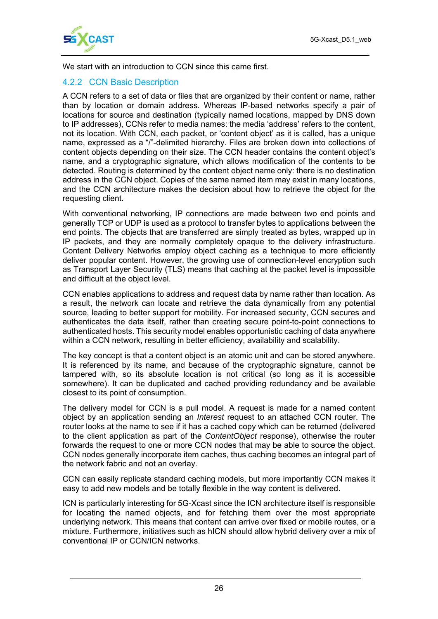

We start with an introduction to CCN since this came first.

#### 4.2.2 CCN Basic Description

A CCN refers to a set of data or files that are organized by their content or name, rather than by location or domain address. Whereas IP-based networks specify a pair of locations for source and destination (typically named locations, mapped by DNS down to IP addresses), CCNs refer to media names: the media 'address' refers to the content, not its location. With CCN, each packet, or 'content object' as it is called, has a unique name, expressed as a "/"-delimited hierarchy. Files are broken down into collections of content objects depending on their size. The CCN header contains the content object's name, and a cryptographic signature, which allows modification of the contents to be detected. Routing is determined by the content object name only: there is no destination address in the CCN object. Copies of the same named item may exist in many locations, and the CCN architecture makes the decision about how to retrieve the object for the requesting client.

With conventional networking, IP connections are made between two end points and generally TCP or UDP is used as a protocol to transfer bytes to applications between the end points. The objects that are transferred are simply treated as bytes, wrapped up in IP packets, and they are normally completely opaque to the delivery infrastructure. Content Delivery Networks employ object caching as a technique to more efficiently deliver popular content. However, the growing use of connection-level encryption such as Transport Layer Security (TLS) means that caching at the packet level is impossible and difficult at the object level.

CCN enables applications to address and request data by name rather than location. As a result, the network can locate and retrieve the data dynamically from any potential source, leading to better support for mobility. For increased security, CCN secures and authenticates the data itself, rather than creating secure point-to-point connections to authenticated hosts. This security model enables opportunistic caching of data anywhere within a CCN network, resulting in better efficiency, availability and scalability.

The key concept is that a content object is an atomic unit and can be stored anywhere. It is referenced by its name, and because of the cryptographic signature, cannot be tampered with, so its absolute location is not critical (so long as it is accessible somewhere). It can be duplicated and cached providing redundancy and be available closest to its point of consumption.

The delivery model for CCN is a pull model. A request is made for a named content object by an application sending an *Interest* request to an attached CCN router. The router looks at the name to see if it has a cached copy which can be returned (delivered to the client application as part of the *ContentObject* response), otherwise the router forwards the request to one or more CCN nodes that may be able to source the object. CCN nodes generally incorporate item caches, thus caching becomes an integral part of the network fabric and not an overlay.

CCN can easily replicate standard caching models, but more importantly CCN makes it easy to add new models and be totally flexible in the way content is delivered.

ICN is particularly interesting for 5G-Xcast since the ICN architecture itself is responsible for locating the named objects, and for fetching them over the most appropriate underlying network. This means that content can arrive over fixed or mobile routes, or a mixture. Furthermore, initiatives such as hICN should allow hybrid delivery over a mix of conventional IP or CCN/ICN networks.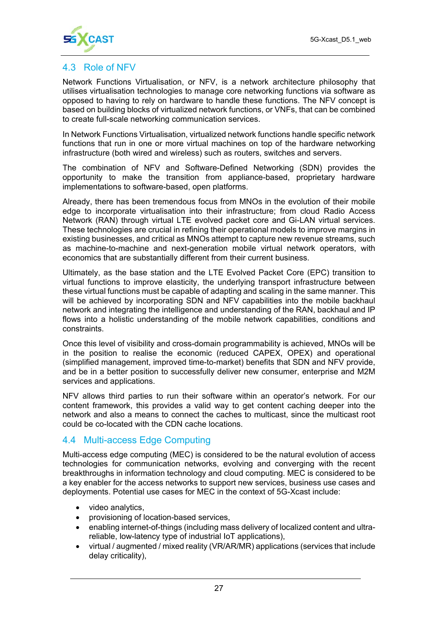

#### 4.3 Role of NFV

Network Functions Virtualisation, or NFV, is a network architecture philosophy that utilises virtualisation technologies to manage core networking functions via software as opposed to having to rely on hardware to handle these functions. The NFV concept is based on building blocks of virtualized network functions, or VNFs, that can be combined to create full-scale networking communication services.

In Network Functions Virtualisation, virtualized network functions handle specific network functions that run in one or more virtual machines on top of the hardware networking infrastructure (both wired and wireless) such as routers, switches and servers.

The combination of NFV and Software-Defined Networking (SDN) provides the opportunity to make the transition from appliance-based, proprietary hardware implementations to software-based, open platforms.

Already, there has been tremendous focus from MNOs in the evolution of their mobile edge to incorporate virtualisation into their infrastructure; from cloud Radio Access Network (RAN) through virtual LTE evolved packet core and Gi-LAN virtual services. These technologies are crucial in refining their operational models to improve margins in existing businesses, and critical as MNOs attempt to capture new revenue streams, such as machine-to-machine and next-generation mobile virtual network operators, with economics that are substantially different from their current business.

Ultimately, as the base station and the LTE Evolved Packet Core (EPC) transition to virtual functions to improve elasticity, the underlying transport infrastructure between these virtual functions must be capable of adapting and scaling in the same manner. This will be achieved by incorporating SDN and NFV capabilities into the mobile backhaul network and integrating the intelligence and understanding of the RAN, backhaul and IP flows into a holistic understanding of the mobile network capabilities, conditions and constraints.

Once this level of visibility and cross-domain programmability is achieved, MNOs will be in the position to realise the economic (reduced CAPEX, OPEX) and operational (simplified management, improved time-to-market) benefits that SDN and NFV provide, and be in a better position to successfully deliver new consumer, enterprise and M2M services and applications.

NFV allows third parties to run their software within an operator's network. For our content framework, this provides a valid way to get content caching deeper into the network and also a means to connect the caches to multicast, since the multicast root could be co-located with the CDN cache locations.

#### 4.4 Multi-access Edge Computing

Multi-access edge computing (MEC) is considered to be the natural evolution of access technologies for communication networks, evolving and converging with the recent breakthroughs in information technology and cloud computing. MEC is considered to be a key enabler for the access networks to support new services, business use cases and deployments. Potential use cases for MEC in the context of 5G-Xcast include:

- video analytics,
- provisioning of location-based services,
- enabling internet-of-things (including mass delivery of localized content and ultrareliable, low-latency type of industrial IoT applications),
- virtual / augmented / mixed reality (VR/AR/MR) applications (services that include delay criticality),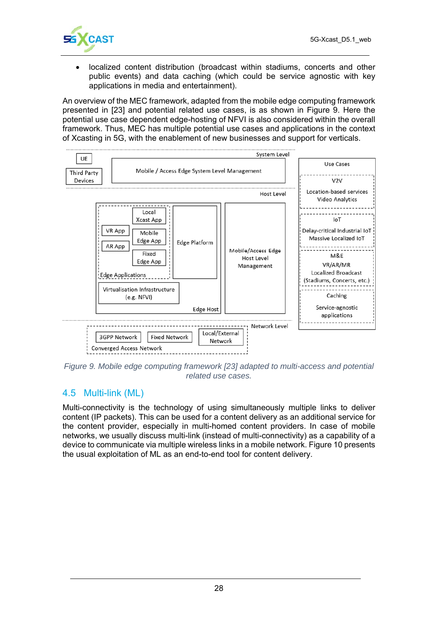

 localized content distribution (broadcast within stadiums, concerts and other public events) and data caching (which could be service agnostic with key applications in media and entertainment).

An overview of the MEC framework, adapted from the mobile edge computing framework presented in [23] and potential related use cases, is as shown in Figure 9. Here the potential use case dependent edge-hosting of NFVI is also considered within the overall framework. Thus, MEC has multiple potential use cases and applications in the context of Xcasting in 5G, with the enablement of new businesses and support for verticals.



*Figure 9. Mobile edge computing framework [23] adapted to multi-access and potential related use cases.* 

#### 4.5 Multi-link (ML)

Multi-connectivity is the technology of using simultaneously multiple links to deliver content (IP packets). This can be used for a content delivery as an additional service for the content provider, especially in multi-homed content providers. In case of mobile networks, we usually discuss multi-link (instead of multi-connectivity) as a capability of a device to communicate via multiple wireless links in a mobile network. Figure 10 presents the usual exploitation of ML as an end-to-end tool for content delivery.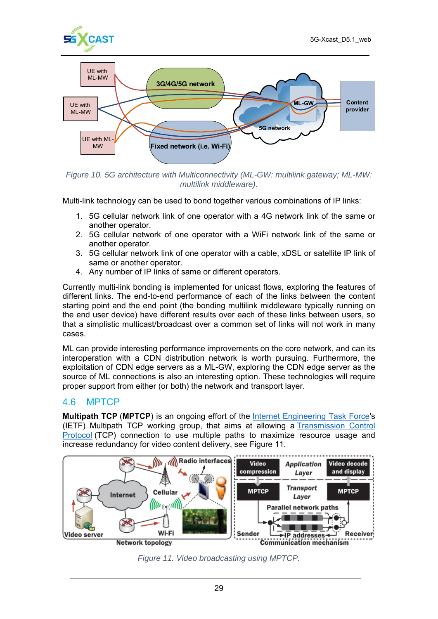



*Figure 10. 5G architecture with Multiconnectivity (ML-GW: multilink gateway; ML-MW: multilink middleware).*

Multi-link technology can be used to bond together various combinations of IP links:

- 1. 5G cellular network link of one operator with a 4G network link of the same or another operator.
- 2. 5G cellular network of one operator with a WiFi network link of the same or another operator.
- 3. 5G cellular network link of one operator with a cable, xDSL or satellite IP link of same or another operator.
- 4. Any number of IP links of same or different operators.

Currently multi-link bonding is implemented for unicast flows, exploring the features of different links. The end-to-end performance of each of the links between the content starting point and the end point (the bonding multilink middleware typically running on the end user device) have different results over each of these links between users, so that a simplistic multicast/broadcast over a common set of links will not work in many cases.

ML can provide interesting performance improvements on the core network, and can its interoperation with a CDN distribution network is worth pursuing. Furthermore, the exploitation of CDN edge servers as a ML-GW, exploring the CDN edge server as the source of ML connections is also an interesting option. These technologies will require proper support from either (or both) the network and transport layer.

#### 4.6 MPTCP

**Multipath TCP** (**MPTCP**) is an ongoing effort of the Internet Engineering Task Force's (IETF) Multipath TCP working group, that aims at allowing a Transmission Control Protocol (TCP) connection to use multiple paths to maximize resource usage and increase redundancy for video content delivery, see Figure 11.



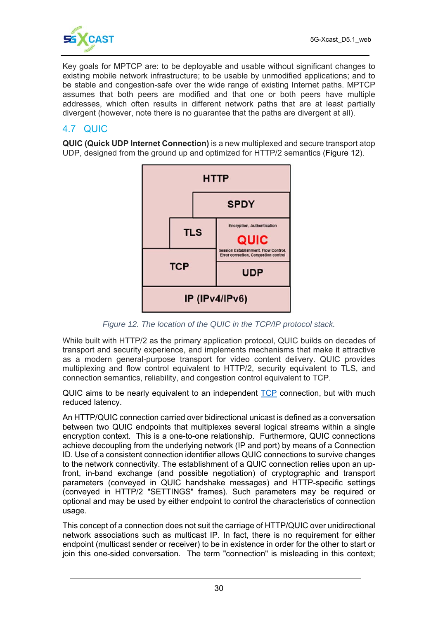

Key goals for MPTCP are: to be deployable and usable without significant changes to existing mobile network infrastructure; to be usable by unmodified applications; and to be stable and congestion-safe over the wide range of existing Internet paths. MPTCP assumes that both peers are modified and that one or both peers have multiple addresses, which often results in different network paths that are at least partially divergent (however, note there is no guarantee that the paths are divergent at all).

#### 4.7 QUIC

**QUIC (Quick UDP Internet Connection)** is a new multiplexed and secure transport atop UDP, designed from the ground up and optimized for HTTP/2 semantics (Figure 12).



*Figure 12. The location of the QUIC in the TCP/IP protocol stack.*

While built with HTTP/2 as the primary application protocol, QUIC builds on decades of transport and security experience, and implements mechanisms that make it attractive as a modern general-purpose transport for video content delivery. QUIC provides multiplexing and flow control equivalent to HTTP/2, security equivalent to TLS, and connection semantics, reliability, and congestion control equivalent to TCP.

QUIC aims to be nearly equivalent to an independent TCP connection, but with much reduced latency.

An HTTP/QUIC connection carried over bidirectional unicast is defined as a conversation between two QUIC endpoints that multiplexes several logical streams within a single encryption context. This is a one-to-one relationship. Furthermore, QUIC connections achieve decoupling from the underlying network (IP and port) by means of a Connection ID. Use of a consistent connection identifier allows QUIC connections to survive changes to the network connectivity. The establishment of a QUIC connection relies upon an upfront, in-band exchange (and possible negotiation) of cryptographic and transport parameters (conveyed in QUIC handshake messages) and HTTP-specific settings (conveyed in HTTP/2 "SETTINGS" frames). Such parameters may be required or optional and may be used by either endpoint to control the characteristics of connection usage.

This concept of a connection does not suit the carriage of HTTP/QUIC over unidirectional network associations such as multicast IP. In fact, there is no requirement for either endpoint (multicast sender or receiver) to be in existence in order for the other to start or join this one-sided conversation. The term "connection" is misleading in this context;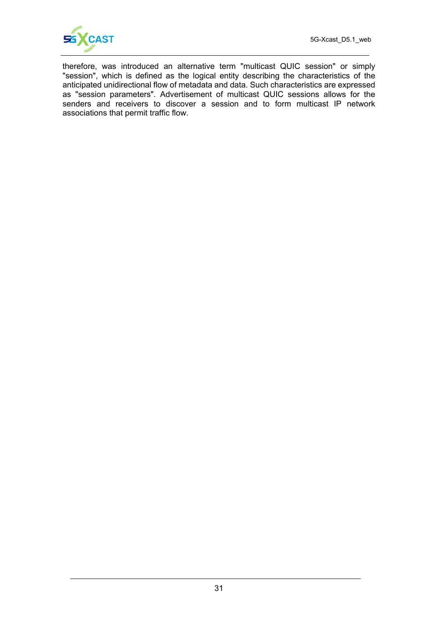

therefore, was introduced an alternative term "multicast QUIC session" or simply "session", which is defined as the logical entity describing the characteristics of the anticipated unidirectional flow of metadata and data. Such characteristics are expressed as "session parameters". Advertisement of multicast QUIC sessions allows for the senders and receivers to discover a session and to form multicast IP network associations that permit traffic flow.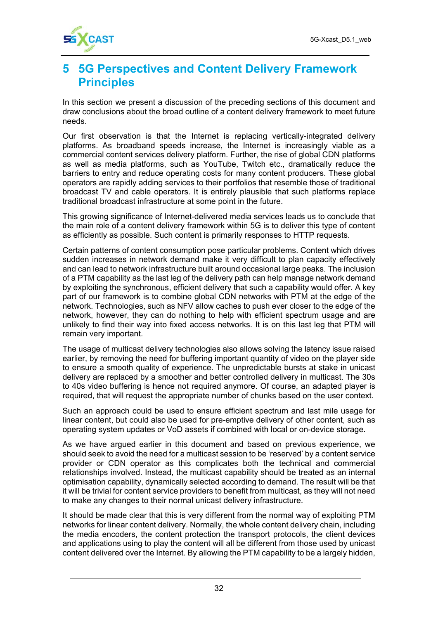

# **5 5G Perspectives and Content Delivery Framework Principles**

In this section we present a discussion of the preceding sections of this document and draw conclusions about the broad outline of a content delivery framework to meet future needs.

Our first observation is that the Internet is replacing vertically-integrated delivery platforms. As broadband speeds increase, the Internet is increasingly viable as a commercial content services delivery platform. Further, the rise of global CDN platforms as well as media platforms, such as YouTube, Twitch etc., dramatically reduce the barriers to entry and reduce operating costs for many content producers. These global operators are rapidly adding services to their portfolios that resemble those of traditional broadcast TV and cable operators. It is entirely plausible that such platforms replace traditional broadcast infrastructure at some point in the future.

This growing significance of Internet-delivered media services leads us to conclude that the main role of a content delivery framework within 5G is to deliver this type of content as efficiently as possible. Such content is primarily responses to HTTP requests.

Certain patterns of content consumption pose particular problems. Content which drives sudden increases in network demand make it very difficult to plan capacity effectively and can lead to network infrastructure built around occasional large peaks. The inclusion of a PTM capability as the last leg of the delivery path can help manage network demand by exploiting the synchronous, efficient delivery that such a capability would offer. A key part of our framework is to combine global CDN networks with PTM at the edge of the network. Technologies, such as NFV allow caches to push ever closer to the edge of the network, however, they can do nothing to help with efficient spectrum usage and are unlikely to find their way into fixed access networks. It is on this last leg that PTM will remain very important.

The usage of multicast delivery technologies also allows solving the latency issue raised earlier, by removing the need for buffering important quantity of video on the player side to ensure a smooth quality of experience. The unpredictable bursts at stake in unicast delivery are replaced by a smoother and better controlled delivery in multicast. The 30s to 40s video buffering is hence not required anymore. Of course, an adapted player is required, that will request the appropriate number of chunks based on the user context.

Such an approach could be used to ensure efficient spectrum and last mile usage for linear content, but could also be used for pre-emptive delivery of other content, such as operating system updates or VoD assets if combined with local or on-device storage.

As we have argued earlier in this document and based on previous experience, we should seek to avoid the need for a multicast session to be 'reserved' by a content service provider or CDN operator as this complicates both the technical and commercial relationships involved. Instead, the multicast capability should be treated as an internal optimisation capability, dynamically selected according to demand. The result will be that it will be trivial for content service providers to benefit from multicast, as they will not need to make any changes to their normal unicast delivery infrastructure.

It should be made clear that this is very different from the normal way of exploiting PTM networks for linear content delivery. Normally, the whole content delivery chain, including the media encoders, the content protection the transport protocols, the client devices and applications using to play the content will all be different from those used by unicast content delivered over the Internet. By allowing the PTM capability to be a largely hidden,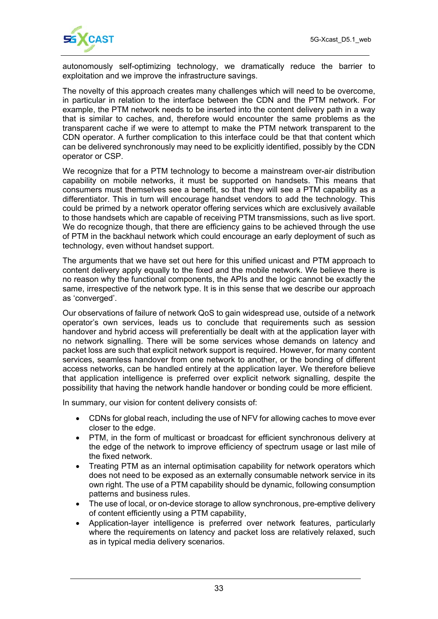

autonomously self-optimizing technology, we dramatically reduce the barrier to exploitation and we improve the infrastructure savings.

The novelty of this approach creates many challenges which will need to be overcome, in particular in relation to the interface between the CDN and the PTM network. For example, the PTM network needs to be inserted into the content delivery path in a way that is similar to caches, and, therefore would encounter the same problems as the transparent cache if we were to attempt to make the PTM network transparent to the CDN operator. A further complication to this interface could be that that content which can be delivered synchronously may need to be explicitly identified, possibly by the CDN operator or CSP.

We recognize that for a PTM technology to become a mainstream over-air distribution capability on mobile networks, it must be supported on handsets. This means that consumers must themselves see a benefit, so that they will see a PTM capability as a differentiator. This in turn will encourage handset vendors to add the technology. This could be primed by a network operator offering services which are exclusively available to those handsets which are capable of receiving PTM transmissions, such as live sport. We do recognize though, that there are efficiency gains to be achieved through the use of PTM in the backhaul network which could encourage an early deployment of such as technology, even without handset support.

The arguments that we have set out here for this unified unicast and PTM approach to content delivery apply equally to the fixed and the mobile network. We believe there is no reason why the functional components, the APIs and the logic cannot be exactly the same, irrespective of the network type. It is in this sense that we describe our approach as 'converged'.

Our observations of failure of network QoS to gain widespread use, outside of a network operator's own services, leads us to conclude that requirements such as session handover and hybrid access will preferentially be dealt with at the application layer with no network signalling. There will be some services whose demands on latency and packet loss are such that explicit network support is required. However, for many content services, seamless handover from one network to another, or the bonding of different access networks, can be handled entirely at the application layer. We therefore believe that application intelligence is preferred over explicit network signalling, despite the possibility that having the network handle handover or bonding could be more efficient.

In summary, our vision for content delivery consists of:

- CDNs for global reach, including the use of NFV for allowing caches to move ever closer to the edge.
- PTM, in the form of multicast or broadcast for efficient synchronous delivery at the edge of the network to improve efficiency of spectrum usage or last mile of the fixed network.
- Treating PTM as an internal optimisation capability for network operators which does not need to be exposed as an externally consumable network service in its own right. The use of a PTM capability should be dynamic, following consumption patterns and business rules.
- The use of local, or on-device storage to allow synchronous, pre-emptive delivery of content efficiently using a PTM capability,
- Application-layer intelligence is preferred over network features, particularly where the requirements on latency and packet loss are relatively relaxed, such as in typical media delivery scenarios.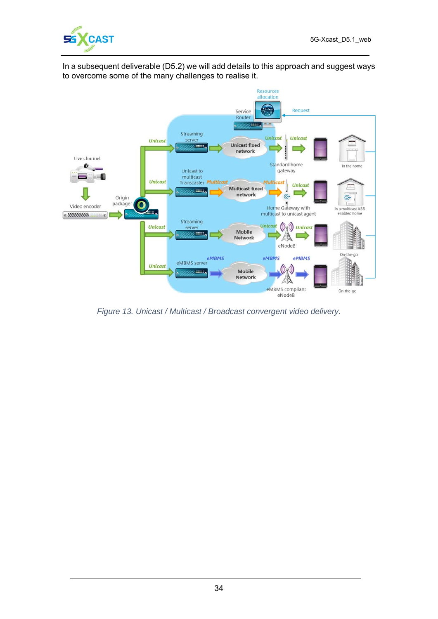

In a subsequent deliverable (D5.2) we will add details to this approach and suggest ways to overcome some of the many challenges to realise it.



*Figure 13. Unicast / Multicast / Broadcast convergent video delivery.*